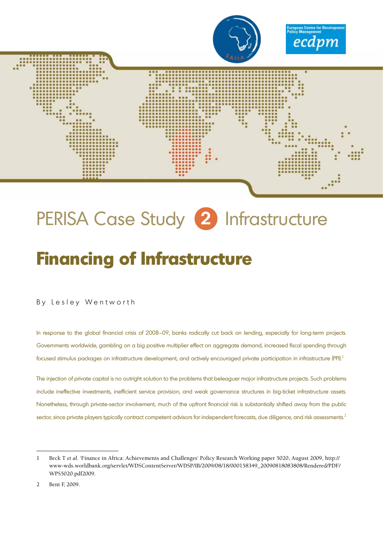

# PERISA Case Study **2** Infrastructure

## **Financing of Infrastructure**

By Lesley Wentworth

In response to the global financial crisis of 2008–09, banks radically cut back on lending, especially for long-term projects. Governments worldwide, gambling on a big positive multiplier effect on aggregate demand, increased fiscal spending through focused stimulus packages on infrastructure development, and actively encouraged private participation in infrastructure (PPI).<sup>1</sup>

The injection of private capital is no outright solution to the problems that beleaguer major infrastructure projects. Such problems include ineffective investments, inefficient service provision, and weak governance structures in big-ticket infrastructure assets. Nonetheless, through private-sector involvement, much of the upfront financial risk is substantially shifted away from the public sector, since private players typically contract competent advisors for independent forecasts, due diligence, and risk assessments.<sup>2</sup>

<sup>1</sup> Beck T *et al*. 'Finance in Africa: Achievements and Challenges' Policy Research Working paper 5020, August 2009, http:// www-wds.worldbank.org/servlet/WDSContentServer/WDSP/IB/2009/08/18/000158349\_20090818083808/Rendered/PDF/ WPS5020.pdf2009.

<sup>2</sup> Bent F, 2009.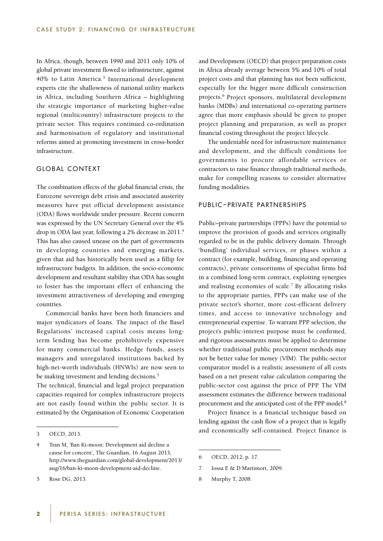In Africa, though, between 1990 and 2011 only 10% of global private investment flowed to infrastructure, against 40% to Latin America.<sup>3</sup> International development experts cite the shallowness of national utility markets in Africa, including Southern Africa – highlighting the strategic importance of marketing higher-value regional (multicountry) infrastructure projects to the private sector. This requires continued co-ordination and harmonisation of regulatory and institutional reforms aimed at promoting investment in cross-border infrastructure.

## GLOBAL CONTEXT

The combination effects of the global financial crisis, the Eurozone sovereign debt crisis and associated austerity measures have put official development assistance (ODA) flows worldwide under pressure. Recent concern was expressed by the UN Secretary General over the 4% drop in ODA last year, following a 2% decrease in 2011.4 This has also caused unease on the part of governments in developing countries and emerging markets, given that aid has historically been used as a fillip for infrastructure budgets. In addition, the socio-economic development and resultant stability that ODA has sought to foster has the important effect of enhancing the investment attractiveness of developing and emerging countries.

Commercial banks have been both financiers and major syndicators of loans. The impact of the Basel Regulations' increased capital costs means longterm lending has become prohibitively expensive for many commercial banks. Hedge funds, assets managers and unregulated institutions backed by high-net-worth individuals (HNWIs) are now seen to be making investment and lending decisions.<sup>5</sup>

The technical, financial and legal project preparation capacities required for complex infrastructure projects are not easily found within the public sector. It is estimated by the Organisation of Economic Cooperation and Development (OECD) that project preparation costs in Africa already average between 5% and 10% of total project costs and that planning has not been sufficient, especially for the bigger more difficult construction projects.6 Project sponsors, multilateral development banks (MDBs) and international co-operating partners agree that more emphasis should be given to proper project planning and preparation, as well as proper financial costing throughout the project lifecycle.

The undeniable need for infrastructure maintenance and development, and the difficult conditions for governments to procure affordable services or contractors to raise finance through traditional methods, make for compelling reasons to consider alternative funding modalities.

#### PUBLIC–PRIVATE PARTNERSHIPS

Public–private partnerships (PPPs) have the potential to improve the provision of goods and services originally regarded to be in the public delivery domain. Through 'bundling' individual services, or phases within a contract (for example, building, financing and operating contracts), private consortiums of specialist firms bid in a combined long-term contract, exploiting synergies and realising economies of scale.<sup>7</sup> By allocating risks to the appropriate parties, PPPs can make use of the private sector's shorter, more cost-efficient delivery times, and access to innovative technology and entrepreneurial expertise. To warrant PPP selection, the project's public-interest purpose must be confirmed, and rigorous assessments must be applied to determine whether traditional public procurement methods may not be better value for money (VfM). The public-sector comparator model is a realistic assessment of all costs based on a net present value calculation comparing the public-sector cost against the price of PPP. The VfM assessment estimates the difference between traditional procurement and the anticipated cost of the PPP model.8

Project finance is a financial technique based on lending against the cash flow of a project that is legally and economically self-contained. Project finance is

- 7 Iossa E & D Martimort, 2009.
- 8 Murphy T, 2008.

<sup>3</sup> OECD, 2013.

<sup>4</sup> Tran M, 'Ban Ki-moon: Development aid decline a cause for concern', The Guardian, 16 August 2013, http://www.theguardian.com/global-development/2013/ aug/16/ban-ki-moon-development-aid-decline.

<sup>5</sup> Rose DG, 2013.

<sup>6</sup> OECD, 2012, p. 17.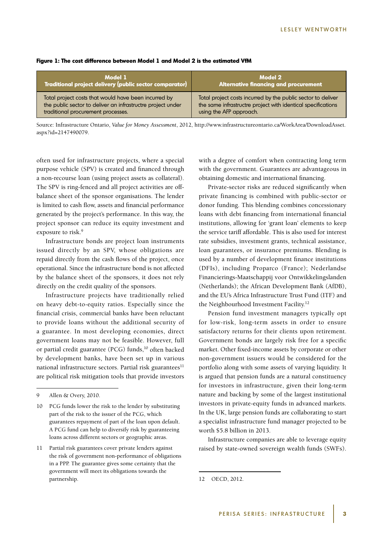| Model 1                                                     | Model 2                                                      |
|-------------------------------------------------------------|--------------------------------------------------------------|
| Traditional project delivery (public sector comparator)     | <b>Alternative financing and procurement</b>                 |
| Total project costs that would have been incurred by        | Total project costs incurred by the public sector to deliver |
| the public sector to deliver an infrastructre project under | the same infrastructre project with identical specifications |
| traditional procurement processes.                          | using the AFP approach.                                      |

#### **Figure 1: The cost difference between Model 1 and Model 2 is the estimated VfM**

Source: Infrastructure Ontario, *Value for Money Assessment*, 2012, http://www.infrastructureontario.ca/WorkArea/DownloadAsset. aspx?id=2147490079.

often used for infrastructure projects, where a special purpose vehicle (SPV) is created and financed through a non-recourse loan (using project assets as collateral). The SPV is ring-fenced and all project activities are offbalance sheet of the sponsor organisations. The lender is limited to cash flow, assets and financial performance generated by the project's performance. In this way, the project sponsor can reduce its equity investment and exposure to risk.<sup>9</sup>

Infrastructure bonds are project loan instruments issued directly by an SPV, whose obligations are repaid directly from the cash flows of the project, once operational. Since the infrastructure bond is not affected by the balance sheet of the sponsors, it does not rely directly on the credit quality of the sponsors.

Infrastructure projects have traditionally relied on heavy debt-to-equity ratios. Especially since the financial crisis, commercial banks have been reluctant to provide loans without the additional security of a guarantee. In most developing economies, direct government loans may not be feasible. However, full or partial credit guarantee (PCG) funds,<sup>10</sup> often backed by development banks, have been set up in various national infrastructure sectors. Partial risk guarantees $^{11}$ are political risk mitigation tools that provide investors

with a degree of comfort when contracting long term with the government. Guarantees are advantageous in obtaining domestic and international financing.

Private-sector risks are reduced significantly when private financing is combined with public-sector or donor funding. This blending combines concessionary loans with debt financing from international financial institutions, allowing for 'grant loan' elements to keep the service tariff affordable. This is also used for interest rate subsidies, investment grants, technical assistance, loan guarantees, or insurance premiums. Blending is used by a number of development finance institutions (DFIs), including Proparco (France); Nederlandse Financierings-Maatschappij voor Ontwikkelingslanden (Netherlands); the African Development Bank (AfDB), and the EU's Africa Infrastructure Trust Fund (ITF) and the Neighbourhood Investment Facility.<sup>12</sup>

Pension fund investment managers typically opt for low-risk, long-term assets in order to ensure satisfactory returns for their clients upon retirement. Government bonds are largely risk free for a specific market. Other fixed-income assets by corporate or other non-government issuers would be considered for the portfolio along with some assets of varying liquidity. It is argued that pension funds are a natural constituency for investors in infrastructure, given their long-term nature and backing by some of the largest institutional investors in private-equity funds in advanced markets. In the UK, large pension funds are collaborating to start a specialist infrastructure fund manager projected to be worth \$5.8 billion in 2013.

Infrastructure companies are able to leverage equity raised by state-owned sovereign wealth funds (SWFs).

<sup>9</sup> Allen & Overy, 2010.

<sup>10</sup> PCG funds lower the risk to the lender by substituting part of the risk to the issuer of the PCG, which guarantees repayment of part of the loan upon default. A PCG fund can help to diversify risk by guaranteeing loans across different sectors or geographic areas.

<sup>11</sup> Partial risk guarantees cover private lenders against the risk of government non-performance of obligations in a PPP. The guarantee gives some certainty that the government will meet its obligations towards the partnership.

<sup>12</sup> OECD, 2012.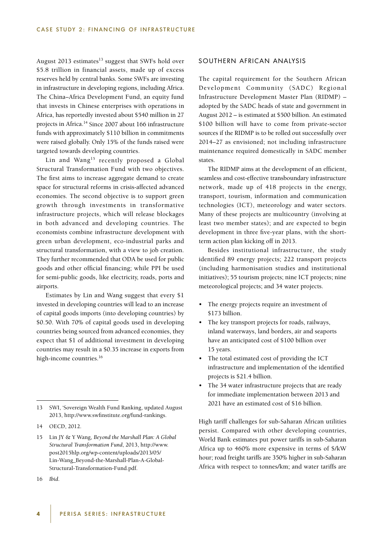August 2013 estimates $^{13}$  suggest that SWFs hold over \$5.8 trillion in financial assets, made up of excess reserves held by central banks. Some SWFs are investing in infrastructure in developing regions, including Africa. The China–Africa Development Fund, an equity fund that invests in Chinese enterprises with operations in Africa, has reportedly invested about \$540 million in 27 projects in Africa.<sup>14</sup> Since 2007 about 166 infrastructure funds with approximately \$110 billion in commitments were raised globally. Only 15% of the funds raised were targeted towards developing countries.

Lin and Wang<sup>15</sup> recently proposed a Global Structural Transformation Fund with two objectives. The first aims to increase aggregate demand to create space for structural reforms in crisis-affected advanced economies. The second objective is to support green growth through investments in transformative infrastructure projects, which will release blockages in both advanced and developing countries. The economists combine infrastructure development with green urban development, eco-industrial parks and structural transformation, with a view to job creation. They further recommended that ODA be used for public goods and other official financing; while PPI be used for semi-public goods, like electricity, roads, ports and airports.

Estimates by Lin and Wang suggest that every \$1 invested in developing countries will lead to an increase of capital goods imports (into developing countries) by \$0.50. With 70% of capital goods used in developing countries being sourced from advanced economies, they expect that \$1 of additional investment in developing countries may result in a \$0.35 increase in exports from high-income countries.<sup>16</sup>

### SOUTHERN AFRICAN ANALYSIS

The capital requirement for the Southern African Development Community (SADC) Regional Infrastructure Development Master Plan (RIDMP) – adopted by the SADC heads of state and government in August 2012 – is estimated at \$500 billion. An estimated \$100 billion will have to come from private-sector sources if the RIDMP is to be rolled out successfully over 2014–27 as envisioned; not including infrastructure maintenance required domestically in SADC member states.

The RIDMP aims at the development of an efficient, seamless and cost-effective transboundary infrastructure network, made up of 418 projects in the energy, transport, tourism, information and communication technologies (ICT), meteorology and water sectors. Many of these projects are multicountry (involving at least two member states); and are expected to begin development in three five-year plans, with the shortterm action plan kicking off in 2013.

Besides institutional infrastructure, the study identified 89 energy projects; 222 transport projects (including harmonisation studies and institutional initiatives); 55 tourism projects; nine ICT projects; nine meteorological projects; and 34 water projects.

- The energy projects require an investment of \$173 billion.
- The key transport projects for roads, railways, inland waterways, land borders, air and seaports have an anticipated cost of \$100 billion over 15 years.
- The total estimated cost of providing the ICT infrastructure and implementation of the identified projects is \$21.4 billion.
- The 34 water infrastructure projects that are ready for immediate implementation between 2013 and 2021 have an estimated cost of \$16 billion.

High tariff challenges for sub-Saharan African utilities persist. Compared with other developing countries, World Bank estimates put power tariffs in sub-Saharan Africa up to 460% more expensive in terms of \$/kW hour; road freight tariffs are 350% higher in sub-Saharan Africa with respect to tonnes/km; and water tariffs are

<sup>13</sup> SWI, 'Sovereign Wealth Fund Ranking, updated August 2013, http://www.swfinstitute.org/fund-rankings.

<sup>14</sup> OECD, 2012.

<sup>15</sup> Lin JY & Y Wang, *Beyond the Marshall Plan: A Global Structural Transformation Fund*, 2013, http://www. post2015hlp.org/wp-content/uploads/2013/05/ Lin-Wang\_Beyond-the-Marshall-Plan-A-Global-Structural-Transformation-Fund.pdf.

<sup>16</sup> *Ibid*.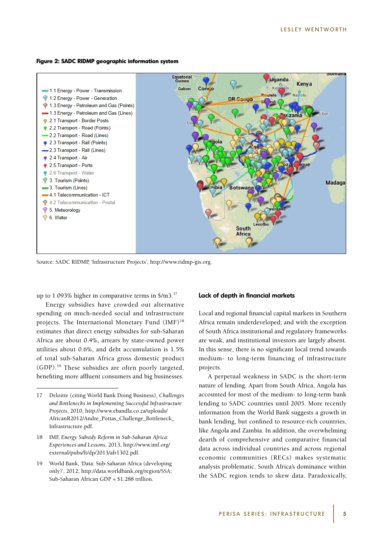#### **Figure 2: SADC RIDMP geographic information system**



Source: SADC RIDMP, 'Infrastructure Projects', http://www.ridmp-gis.org.

up to 1 093% higher in comparative terms in \$/m3.17

Energy subsidies have crowded out alternative spending on much-needed social and infrastructure projects. The International Monetary Fund  $(MF)^{18}$ estimates that direct energy subsidies for sub-Saharan Africa are about 0.4%, arrears by state-owned power utilities about 0.6%, and debt accumulation is 1.5% of total sub-Saharan Africa gross domestic product (GDP).19 These subsidies are often poorly targeted, benefiting more affluent consumers and big businesses.

- 18 IMF, *Energy Subsidy Reform in Sub-Saharan Africa: Experiences and Lessons*, 2013, http://www.imf.org/ external/pubs/ft/dp/2013/afr1302.pdf.
- 19 World Bank, 'Data: Sub-Saharan Africa (developing only)', 2012, http://data.worldbank.org/region/SSA; Sub-Saharan African GDP = \$1.288 trillion.

#### **Lack of depth in financial markets**

Local and regional financial capital markets in Southern Africa remain underdeveloped; and with the exception of South Africa institutional and regulatory frameworks are weak, and institutional investors are largely absent. In this sense, there is no significant local trend towards medium- to long-term financing of infrastructure projects.

A perpetual weakness in SADC is the short-term nature of lending. Apart from South Africa, Angola has accounted for most of the medium- to long-term bank lending to SADC countries until 2005. More recently information from the World Bank suggests a growth in bank lending, but confined to resource-rich countries, like Angola and Zambia. In addition, the overwhelming dearth of comprehensive and comparative financial data across individual countries and across regional economic communities (RECs) makes systematic analysis problematic. South Africa's dominance within the SADC region tends to skew data. Paradoxically,

<sup>17</sup> Deloitte (citing World Bank Doing Business), *Challenges and Bottlenecks in Implementing Successful Infrastructure Projects*, 2010, http://www.ebandla.co.za/uploads/ AfricanR2012/Andre\_Pottas\_Challenge\_Bottleneck\_ Infrastructure.pdf.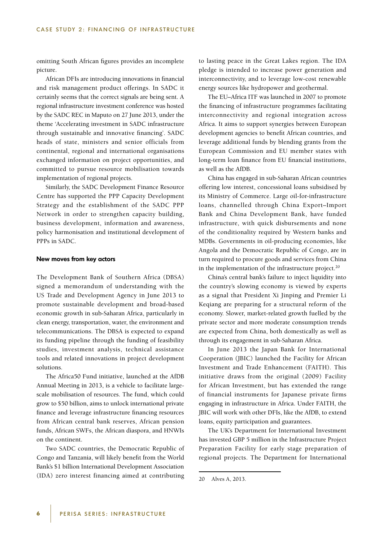omitting South African figures provides an incomplete picture.

African DFIs are introducing innovations in financial and risk management product offerings. In SADC it certainly seems that the correct signals are being sent. A regional infrastructure investment conference was hosted by the SADC REC in Maputo on 27 June 2013, under the theme 'Accelerating investment in SADC infrastructure through sustainable and innovative financing'. SADC heads of state, ministers and senior officials from continental, regional and international organisations exchanged information on project opportunities, and committed to pursue resource mobilisation towards implementation of regional projects.

Similarly, the SADC Development Finance Resource Centre has supported the PPP Capacity Development Strategy and the establishment of the SADC PPP Network in order to strengthen capacity building, business development, information and awareness, policy harmonisation and institutional development of PPPs in SADC.

#### **New moves from key actors**

The Development Bank of Southern Africa (DBSA) signed a memorandum of understanding with the US Trade and Development Agency in June 2013 to promote sustainable development and broad-based economic growth in sub-Saharan Africa, particularly in clean energy, transportation, water, the environment and telecommunications. The DBSA is expected to expand its funding pipeline through the funding of feasibility studies, investment analysis, technical assistance tools and related innovations in project development solutions.

The Africa50 Fund initiative, launched at the AfDB Annual Meeting in 2013, is a vehicle to facilitate largescale mobilisation of resources. The fund, which could grow to \$50 billion, aims to unlock international private finance and leverage infrastructure financing resources from African central bank reserves, African pension funds, African SWFs, the African diaspora, and HNWIs on the continent.

Two SADC countries, the Democratic Republic of Congo and Tanzania, will likely benefit from the World Bank's \$1 billion International Development Association (IDA) zero interest financing aimed at contributing

to lasting peace in the Great Lakes region. The IDA pledge is intended to increase power generation and interconnectivity, and to leverage low-cost renewable energy sources like hydropower and geothermal.

The EU–Africa ITF was launched in 2007 to promote the financing of infrastructure programmes facilitating interconnectivity and regional integration across Africa. It aims to support synergies between European development agencies to benefit African countries, and leverage additional funds by blending grants from the European Commission and EU member states with long-term loan finance from EU financial institutions, as well as the AfDB.

China has engaged in sub-Saharan African countries offering low interest, concessional loans subsidised by its Ministry of Commerce. Large oil-for-infrastructure loans, channelled through China Export–Import Bank and China Development Bank, have funded infrastructure, with quick disbursements and none of the conditionality required by Western banks and MDBs. Governments in oil-producing economies, like Angola and the Democratic Republic of Congo, are in turn required to procure goods and services from China in the implementation of the infrastructure project.<sup>20</sup>

China's central bank's failure to inject liquidity into the country's slowing economy is viewed by experts as a signal that President Xi Jinping and Premier Li Keqiang are preparing for a structural reform of the economy. Slower, market-related growth fuelled by the private sector and more moderate consumption trends are expected from China, both domestically as well as through its engagement in sub-Saharan Africa.

In June 2013 the Japan Bank for International Cooperation (JBIC) launched the Facility for African Investment and Trade Enhancement (FAITH). This initiative draws from the original (2009) Facility for African Investment, but has extended the range of financial instruments for Japanese private firms engaging in infrastructure in Africa. Under FAITH, the JBIC will work with other DFIs, like the AfDB, to extend loans, equity participation and guarantees.

The UK's Department for International Investment has invested GBP 5 million in the Infrastructure Project Preparation Facility for early stage preparation of regional projects. The Department for International

<sup>20</sup> Alves A, 2013.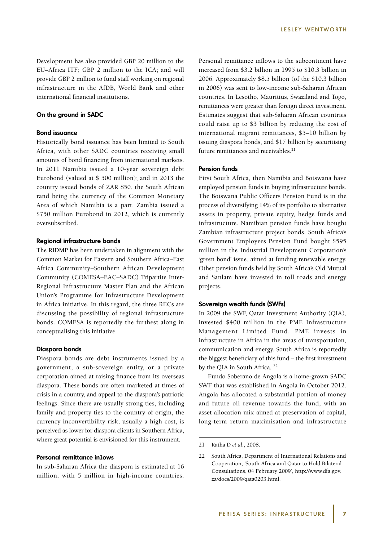Development has also provided GBP 20 million to the EU–Africa ITF; GBP 2 million to the ICA; and will provide GBP 2 million to fund staff working on regional infrastructure in the AfDB, World Bank and other international financial institutions.

#### **On the ground in SADC**

#### **Bond issuance**

Historically bond issuance has been limited to South Africa, with other SADC countries receiving small amounts of bond financing from international markets. In 2011 Namibia issued a 10-year sovereign debt Eurobond (valued at \$ 500 million); and in 2013 the country issued bonds of ZAR 850, the South African rand being the currency of the Common Monetary Area of which Namibia is a part. Zambia issued a \$750 million Eurobond in 2012, which is currently oversubscribed.

#### **Regional infrastructure bonds**

The RIDMP has been undertaken in alignment with the Common Market for Eastern and Southern Africa–East Africa Community–Southern African Development Community (COMESA–EAC–SADC) Tripartite Inter-Regional Infrastructure Master Plan and the African Union's Programme for Infrastructure Development in Africa initiative. In this regard, the three RECs are discussing the possibility of regional infrastructure bonds. COMESA is reportedly the furthest along in conceptualising this initiative.

#### **Diaspora bonds**

Diaspora bonds are debt instruments issued by a government, a sub-sovereign entity, or a private corporation aimed at raising finance from its overseas diaspora. These bonds are often marketed at times of crisis in a country, and appeal to the diaspora's patriotic feelings. Since there are usually strong ties, including family and property ties to the country of origin, the currency inconvertibility risk, usually a high cost, is perceived as lower for diaspora clients in Southern Africa, where great potential is envisioned for this instrument.

#### **Personal remittance in lows**

In sub-Saharan Africa the diaspora is estimated at 16 million, with 5 million in high-income countries.

Personal remittance inflows to the subcontinent have increased from \$3.2 billion in 1995 to \$10.3 billion in 2006. Approximately \$8.5 billion (of the \$10.3 billion in 2006) was sent to low-income sub-Saharan African countries. In Lesotho, Mauritius, Swaziland and Togo, remittances were greater than foreign direct investment. Estimates suggest that sub-Saharan African countries could raise up to \$3 billion by reducing the cost of international migrant remittances, \$5–10 billion by issuing diaspora bonds, and \$17 billion by securitising future remittances and receivables.<sup>21</sup>

#### **Pension funds**

First South Africa, then Namibia and Botswana have employed pension funds in buying infrastructure bonds. The Botswana Public Officers Pension Fund is in the process of diversifying 14% of its portfolio to alternative assets in property, private equity, hedge funds and infrastructure. Namibian pension funds have bought Zambian infrastructure project bonds. South Africa's Government Employees Pension Fund bought \$595 million in the Industrial Development Corporation's 'green bond' issue, aimed at funding renewable energy. Other pension funds held by South Africa's Old Mutual and Sanlam have invested in toll roads and energy projects.

#### **Sovereign wealth funds (SWFs)**

In 2009 the SWF, Qatar Investment Authority (QIA), invested \$400 million in the PME Infrastructure Management Limited Fund. PME invests in infrastructure in Africa in the areas of transportation, communication and energy. South Africa is reportedly the biggest beneficiary of this fund – the first investment by the QIA in South Africa.<sup>22</sup>

Fundo Soberano de Angola is a home-grown SADC SWF that was established in Angola in October 2012. Angola has allocated a substantial portion of money and future oil revenue towards the fund, with an asset allocation mix aimed at preservation of capital, long-term return maximisation and infrastructure

<sup>21</sup> Ratha D *et al*., 2008.

<sup>22</sup> South Africa, Department of International Relations and Cooperation, 'South Africa and Qatar to Hold Bilateral Consultations, 04 February 2009', http://www.dfa.gov. za/docs/2009/qata0203.html.